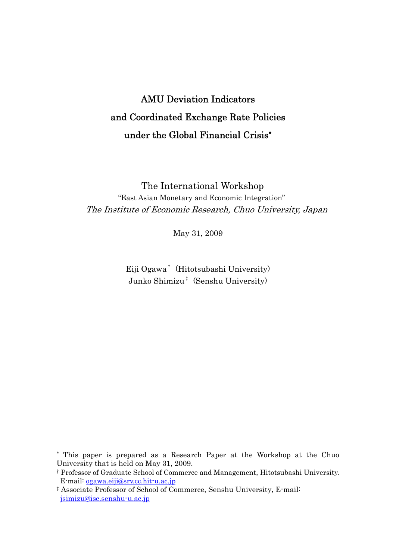# AMU Deviation Indicators and Coordinated Exchange Rate Policies under the Global Financial Crisis\*

The International Workshop "East Asian Monetary and Economic Integration" The Institute of Economic Research, Chuo University, Japan

May 31, 2009

Eiji Ogawa† (Hitotsubashi University) Junko Shimizu‡ (Senshu University)

1

<sup>\*</sup> This paper is prepared as a Research Paper at the Workshop at the Chuo University that is held on May 31, 2009.

<sup>†</sup> Professor of Graduate School of Commerce and Management, Hitotsubashi University. E-mail: ogawa.eiji@srv.cc.hit-u.ac.jp

<sup>‡</sup> Associate Professor of School of Commerce, Senshu University, E-mail: jsimizu@isc.senshu-u.ac.jp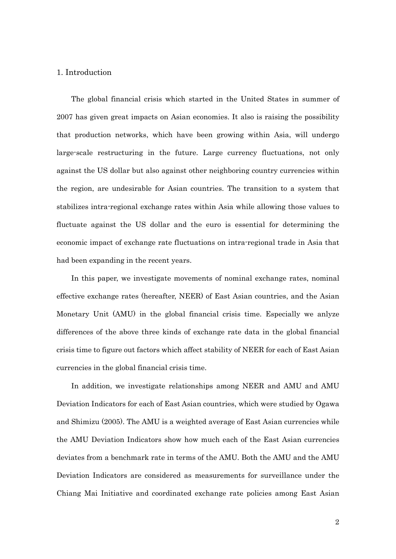### 1. Introduction

The global financial crisis which started in the United States in summer of 2007 has given great impacts on Asian economies. It also is raising the possibility that production networks, which have been growing within Asia, will undergo large-scale restructuring in the future. Large currency fluctuations, not only against the US dollar but also against other neighboring country currencies within the region, are undesirable for Asian countries. The transition to a system that stabilizes intra-regional exchange rates within Asia while allowing those values to fluctuate against the US dollar and the euro is essential for determining the economic impact of exchange rate fluctuations on intra-regional trade in Asia that had been expanding in the recent years.

In this paper, we investigate movements of nominal exchange rates, nominal effective exchange rates (hereafter, NEER) of East Asian countries, and the Asian Monetary Unit (AMU) in the global financial crisis time. Especially we anlyze differences of the above three kinds of exchange rate data in the global financial crisis time to figure out factors which affect stability of NEER for each of East Asian currencies in the global financial crisis time.

In addition, we investigate relationships among NEER and AMU and AMU Deviation Indicators for each of East Asian countries, which were studied by Ogawa and Shimizu (2005). The AMU is a weighted average of East Asian currencies while the AMU Deviation Indicators show how much each of the East Asian currencies deviates from a benchmark rate in terms of the AMU. Both the AMU and the AMU Deviation Indicators are considered as measurements for surveillance under the Chiang Mai Initiative and coordinated exchange rate policies among East Asian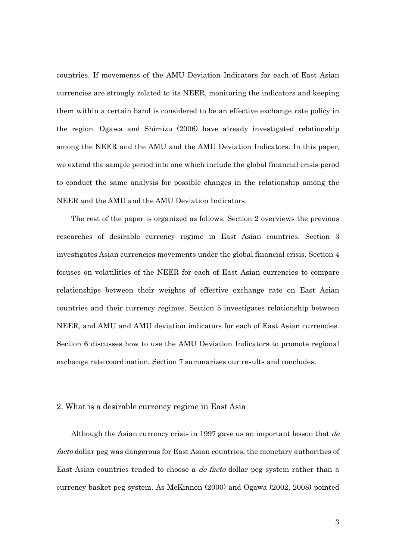countries. If movements of the AMU Deviation Indicators for each of East Asian currencies are strongly related to its NEER, monitoring the indicators and keeping them within a certain band is considered to be an effective exchange rate policy in the region. Ogawa and Shimizu (2006) have already investigated relationship among the NEER and the AMU and the AMU Deviation Indicators. In this paper, we extend the sample period into one which include the global financial crisis perod to conduct the same analysis for possible changes in the relationship among the NEER and the AMU and the AMU Deviation Indicators.

The rest of the paper is organized as follows. Section 2 overviews the previous researches of desirable currency regime in East Asian countries. Section 3 investigates Asian currencies movements under the global financial crisis. Section 4 focuses on volatilities of the NEER for each of East Asian currencies to compare relationships between their weights of effective exchange rate on East Asian countries and their currency regimes. Section 5 investigates relationship between NEER, and AMU and AMU deviation indicators for each of East Asian currencies. Section 6 discusses how to use the AMU Deviation Indicators to promote regional exchange rate coordination. Section 7 summarizes our results and concludes.

### 2. What is a desirable currency regime in East Asia

Although the Asian currency crisis in 1997 gave us an important lesson that de facto dollar peg was dangerous for East Asian countries, the monetary authorities of East Asian countries tended to choose a de facto dollar peg system rather than a currency basket peg system. As McKinnon (2000) and Ogawa (2002, 2008) pointed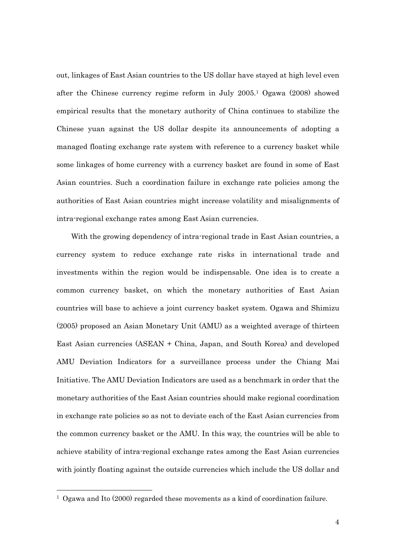out, linkages of East Asian countries to the US dollar have stayed at high level even after the Chinese currency regime reform in July 2005.1 Ogawa (2008) showed empirical results that the monetary authority of China continues to stabilize the Chinese yuan against the US dollar despite its announcements of adopting a managed floating exchange rate system with reference to a currency basket while some linkages of home currency with a currency basket are found in some of East Asian countries. Such a coordination failure in exchange rate policies among the authorities of East Asian countries might increase volatility and misalignments of intra-regional exchange rates among East Asian currencies.

With the growing dependency of intra-regional trade in East Asian countries, a currency system to reduce exchange rate risks in international trade and investments within the region would be indispensable. One idea is to create a common currency basket, on which the monetary authorities of East Asian countries will base to achieve a joint currency basket system. Ogawa and Shimizu (2005) proposed an Asian Monetary Unit (AMU) as a weighted average of thirteen East Asian currencies (ASEAN + China, Japan, and South Korea) and developed AMU Deviation Indicators for a surveillance process under the Chiang Mai Initiative. The AMU Deviation Indicators are used as a benchmark in order that the monetary authorities of the East Asian countries should make regional coordination in exchange rate policies so as not to deviate each of the East Asian currencies from the common currency basket or the AMU. In this way, the countries will be able to achieve stability of intra-regional exchange rates among the East Asian currencies with jointly floating against the outside currencies which include the US dollar and

1

<sup>&</sup>lt;sup>1</sup> Ogawa and Ito (2000) regarded these movements as a kind of coordination failure.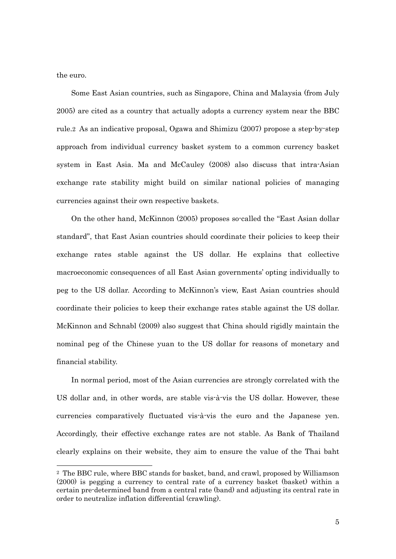the euro.

 $\overline{a}$ 

Some East Asian countries, such as Singapore, China and Malaysia (from July 2005) are cited as a country that actually adopts a currency system near the BBC rule.2 As an indicative proposal, Ogawa and Shimizu (2007) propose a step-by-step approach from individual currency basket system to a common currency basket system in East Asia. Ma and McCauley (2008) also discuss that intra-Asian exchange rate stability might build on similar national policies of managing currencies against their own respective baskets.

On the other hand, McKinnon (2005) proposes so-called the "East Asian dollar standard", that East Asian countries should coordinate their policies to keep their exchange rates stable against the US dollar. He explains that collective macroeconomic consequences of all East Asian governments' opting individually to peg to the US dollar. According to McKinnon's view, East Asian countries should coordinate their policies to keep their exchange rates stable against the US dollar. McKinnon and Schnabl (2009) also suggest that China should rigidly maintain the nominal peg of the Chinese yuan to the US dollar for reasons of monetary and financial stability.

In normal period, most of the Asian currencies are strongly correlated with the US dollar and, in other words, are stable vis-à-vis the US dollar. However, these currencies comparatively fluctuated vis-à-vis the euro and the Japanese yen. Accordingly, their effective exchange rates are not stable. As Bank of Thailand clearly explains on their website, they aim to ensure the value of the Thai baht

<sup>2</sup> The BBC rule, where BBC stands for basket, band, and crawl, proposed by Williamson (2000) is pegging a currency to central rate of a currency basket (basket) within a certain pre-determined band from a central rate (band) and adjusting its central rate in order to neutralize inflation differential (crawling).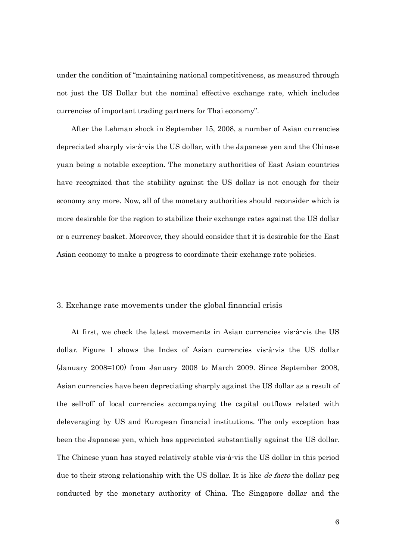under the condition of "maintaining national competitiveness, as measured through not just the US Dollar but the nominal effective exchange rate, which includes currencies of important trading partners for Thai economy".

After the Lehman shock in September 15, 2008, a number of Asian currencies depreciated sharply vis-à-vis the US dollar, with the Japanese yen and the Chinese yuan being a notable exception. The monetary authorities of East Asian countries have recognized that the stability against the US dollar is not enough for their economy any more. Now, all of the monetary authorities should reconsider which is more desirable for the region to stabilize their exchange rates against the US dollar or a currency basket. Moreover, they should consider that it is desirable for the East Asian economy to make a progress to coordinate their exchange rate policies.

### 3. Exchange rate movements under the global financial crisis

At first, we check the latest movements in Asian currencies vis-à-vis the US dollar. Figure 1 shows the Index of Asian currencies vis-à-vis the US dollar (January 2008=100) from January 2008 to March 2009. Since September 2008, Asian currencies have been depreciating sharply against the US dollar as a result of the sell-off of local currencies accompanying the capital outflows related with deleveraging by US and European financial institutions. The only exception has been the Japanese yen, which has appreciated substantially against the US dollar. The Chinese yuan has stayed relatively stable vis-à-vis the US dollar in this period due to their strong relationship with the US dollar. It is like *de facto* the dollar peg conducted by the monetary authority of China. The Singapore dollar and the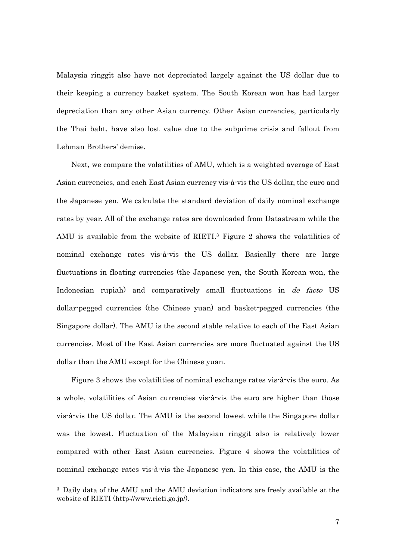Malaysia ringgit also have not depreciated largely against the US dollar due to their keeping a currency basket system. The South Korean won has had larger depreciation than any other Asian currency. Other Asian currencies, particularly the Thai baht, have also lost value due to the subprime crisis and fallout from Lehman Brothers' demise.

Next, we compare the volatilities of AMU, which is a weighted average of East Asian currencies, and each East Asian currency vis-à-vis the US dollar, the euro and the Japanese yen. We calculate the standard deviation of daily nominal exchange rates by year. All of the exchange rates are downloaded from Datastream while the AMU is available from the website of RIETI.3 Figure 2 shows the volatilities of nominal exchange rates vis-à-vis the US dollar. Basically there are large fluctuations in floating currencies (the Japanese yen, the South Korean won, the Indonesian rupiah) and comparatively small fluctuations in *de facto* US dollar-pegged currencies (the Chinese yuan) and basket-pegged currencies (the Singapore dollar). The AMU is the second stable relative to each of the East Asian currencies. Most of the East Asian currencies are more fluctuated against the US dollar than the AMU except for the Chinese yuan.

Figure 3 shows the volatilities of nominal exchange rates vis-à-vis the euro. As a whole, volatilities of Asian currencies vis-à-vis the euro are higher than those vis-à-vis the US dollar. The AMU is the second lowest while the Singapore dollar was the lowest. Fluctuation of the Malaysian ringgit also is relatively lower compared with other East Asian currencies. Figure 4 shows the volatilities of nominal exchange rates vis-à-vis the Japanese yen. In this case, the AMU is the

 $\overline{a}$ 

<sup>&</sup>lt;sup>3</sup> Daily data of the AMU and the AMU deviation indicators are freely available at the website of RIETI (http://www.rieti.go.jp/).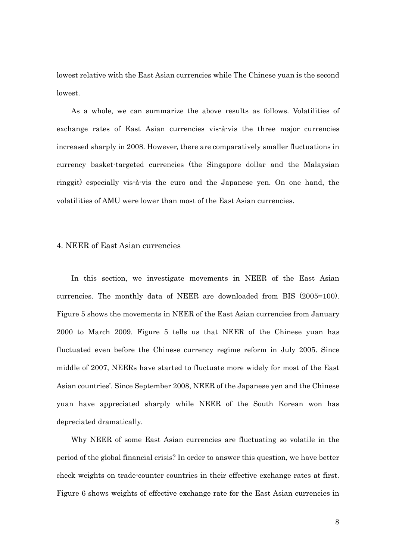lowest relative with the East Asian currencies while The Chinese yuan is the second lowest.

As a whole, we can summarize the above results as follows. Volatilities of exchange rates of East Asian currencies vis-à-vis the three major currencies increased sharply in 2008. However, there are comparatively smaller fluctuations in currency basket-targeted currencies (the Singapore dollar and the Malaysian ringgit) especially vis-à-vis the euro and the Japanese yen. On one hand, the volatilities of AMU were lower than most of the East Asian currencies.

### 4. NEER of East Asian currencies

In this section, we investigate movements in NEER of the East Asian currencies. The monthly data of NEER are downloaded from BIS (2005=100). Figure 5 shows the movements in NEER of the East Asian currencies from January 2000 to March 2009. Figure 5 tells us that NEER of the Chinese yuan has fluctuated even before the Chinese currency regime reform in July 2005. Since middle of 2007, NEERs have started to fluctuate more widely for most of the East Asian countries'. Since September 2008, NEER of the Japanese yen and the Chinese yuan have appreciated sharply while NEER of the South Korean won has depreciated dramatically.

Why NEER of some East Asian currencies are fluctuating so volatile in the period of the global financial crisis? In order to answer this question, we have better check weights on trade-counter countries in their effective exchange rates at first. Figure 6 shows weights of effective exchange rate for the East Asian currencies in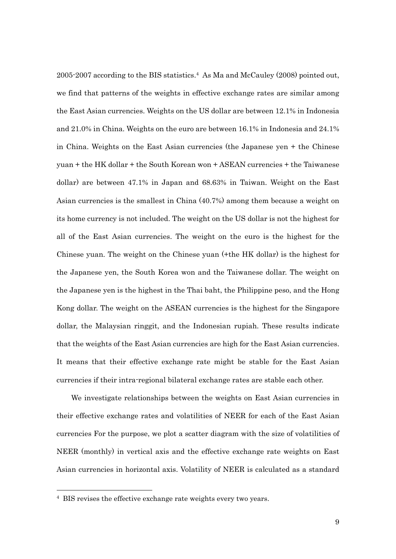2005-2007 according to the BIS statistics.4 As Ma and McCauley (2008) pointed out, we find that patterns of the weights in effective exchange rates are similar among the East Asian currencies. Weights on the US dollar are between 12.1% in Indonesia and 21.0% in China. Weights on the euro are between 16.1% in Indonesia and 24.1% in China. Weights on the East Asian currencies (the Japanese yen + the Chinese yuan + the HK dollar + the South Korean won + ASEAN currencies + the Taiwanese dollar) are between 47.1% in Japan and 68.63% in Taiwan. Weight on the East Asian currencies is the smallest in China (40.7%) among them because a weight on its home currency is not included. The weight on the US dollar is not the highest for all of the East Asian currencies. The weight on the euro is the highest for the Chinese yuan. The weight on the Chinese yuan (+the HK dollar) is the highest for the Japanese yen, the South Korea won and the Taiwanese dollar. The weight on the Japanese yen is the highest in the Thai baht, the Philippine peso, and the Hong Kong dollar. The weight on the ASEAN currencies is the highest for the Singapore dollar, the Malaysian ringgit, and the Indonesian rupiah. These results indicate that the weights of the East Asian currencies are high for the East Asian currencies. It means that their effective exchange rate might be stable for the East Asian currencies if their intra-regional bilateral exchange rates are stable each other.

We investigate relationships between the weights on East Asian currencies in their effective exchange rates and volatilities of NEER for each of the East Asian currencies For the purpose, we plot a scatter diagram with the size of volatilities of NEER (monthly) in vertical axis and the effective exchange rate weights on East Asian currencies in horizontal axis. Volatility of NEER is calculated as a standard

1

<sup>4</sup> BIS revises the effective exchange rate weights every two years.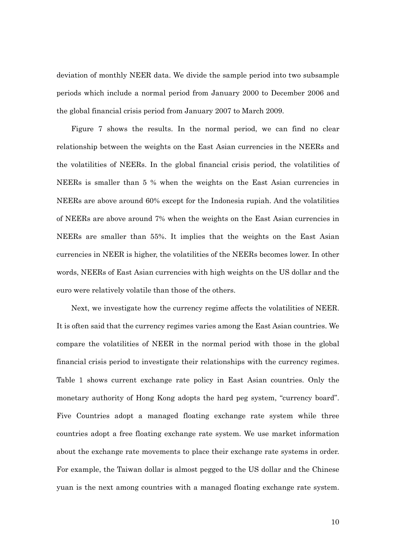deviation of monthly NEER data. We divide the sample period into two subsample periods which include a normal period from January 2000 to December 2006 and the global financial crisis period from January 2007 to March 2009.

Figure 7 shows the results. In the normal period, we can find no clear relationship between the weights on the East Asian currencies in the NEERs and the volatilities of NEERs. In the global financial crisis period, the volatilities of NEERs is smaller than 5 % when the weights on the East Asian currencies in NEERs are above around 60% except for the Indonesia rupiah. And the volatilities of NEERs are above around 7% when the weights on the East Asian currencies in NEERs are smaller than 55%. It implies that the weights on the East Asian currencies in NEER is higher, the volatilities of the NEERs becomes lower. In other words, NEERs of East Asian currencies with high weights on the US dollar and the euro were relatively volatile than those of the others.

Next, we investigate how the currency regime affects the volatilities of NEER. It is often said that the currency regimes varies among the East Asian countries. We compare the volatilities of NEER in the normal period with those in the global financial crisis period to investigate their relationships with the currency regimes. Table 1 shows current exchange rate policy in East Asian countries. Only the monetary authority of Hong Kong adopts the hard peg system, "currency board". Five Countries adopt a managed floating exchange rate system while three countries adopt a free floating exchange rate system. We use market information about the exchange rate movements to place their exchange rate systems in order. For example, the Taiwan dollar is almost pegged to the US dollar and the Chinese yuan is the next among countries with a managed floating exchange rate system.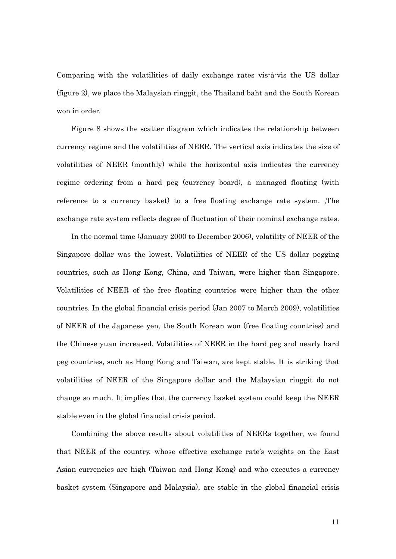Comparing with the volatilities of daily exchange rates vis-à-vis the US dollar (figure 2), we place the Malaysian ringgit, the Thailand baht and the South Korean won in order.

Figure 8 shows the scatter diagram which indicates the relationship between currency regime and the volatilities of NEER. The vertical axis indicates the size of volatilities of NEER (monthly) while the horizontal axis indicates the currency regime ordering from a hard peg (currency board), a managed floating (with reference to a currency basket) to a free floating exchange rate system. ,The exchange rate system reflects degree of fluctuation of their nominal exchange rates.

In the normal time (January 2000 to December 2006), volatility of NEER of the Singapore dollar was the lowest. Volatilities of NEER of the US dollar pegging countries, such as Hong Kong, China, and Taiwan, were higher than Singapore. Volatilities of NEER of the free floating countries were higher than the other countries. In the global financial crisis period (Jan 2007 to March 2009), volatilities of NEER of the Japanese yen, the South Korean won (free floating countries) and the Chinese yuan increased. Volatilities of NEER in the hard peg and nearly hard peg countries, such as Hong Kong and Taiwan, are kept stable. It is striking that volatilities of NEER of the Singapore dollar and the Malaysian ringgit do not change so much. It implies that the currency basket system could keep the NEER stable even in the global financial crisis period.

Combining the above results about volatilities of NEERs together, we found that NEER of the country, whose effective exchange rate's weights on the East Asian currencies are high (Taiwan and Hong Kong) and who executes a currency basket system (Singapore and Malaysia), are stable in the global financial crisis

11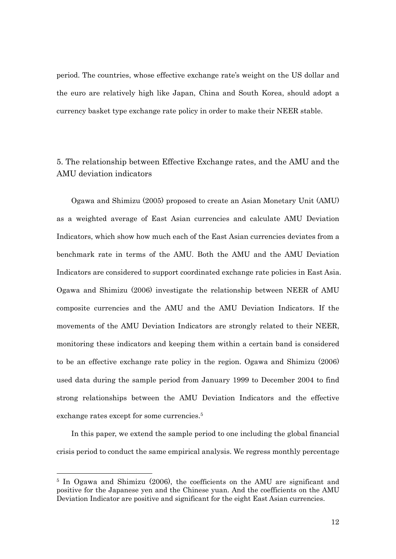period. The countries, whose effective exchange rate's weight on the US dollar and the euro are relatively high like Japan, China and South Korea, should adopt a currency basket type exchange rate policy in order to make their NEER stable.

# 5. The relationship between Effective Exchange rates, and the AMU and the AMU deviation indicators

Ogawa and Shimizu (2005) proposed to create an Asian Monetary Unit (AMU) as a weighted average of East Asian currencies and calculate AMU Deviation Indicators, which show how much each of the East Asian currencies deviates from a benchmark rate in terms of the AMU. Both the AMU and the AMU Deviation Indicators are considered to support coordinated exchange rate policies in East Asia. Ogawa and Shimizu (2006) investigate the relationship between NEER of AMU composite currencies and the AMU and the AMU Deviation Indicators. If the movements of the AMU Deviation Indicators are strongly related to their NEER, monitoring these indicators and keeping them within a certain band is considered to be an effective exchange rate policy in the region. Ogawa and Shimizu (2006) used data during the sample period from January 1999 to December 2004 to find strong relationships between the AMU Deviation Indicators and the effective exchange rates except for some currencies.<sup>5</sup>

In this paper, we extend the sample period to one including the global financial crisis period to conduct the same empirical analysis. We regress monthly percentage

-

<sup>5</sup> In Ogawa and Shimizu (2006), the coefficients on the AMU are significant and positive for the Japanese yen and the Chinese yuan. And the coefficients on the AMU Deviation Indicator are positive and significant for the eight East Asian currencies.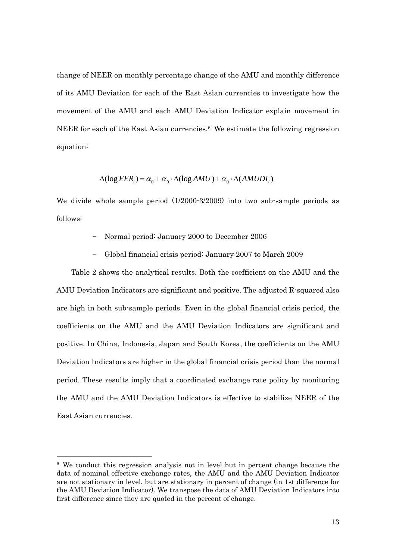change of NEER on monthly percentage change of the AMU and monthly difference of its AMU Deviation for each of the East Asian currencies to investigate how the movement of the AMU and each AMU Deviation Indicator explain movement in NEER for each of the East Asian currencies.<sup>6</sup> We estimate the following regression equation:

$$
\Delta(\log EER_i) = \alpha_0 + \alpha_0 \cdot \Delta(\log AMU) + \alpha_0 \cdot \Delta(AMUDI_i)
$$

We divide whole sample period (1/2000-3/2009) into two sub-sample periods as follows:

- Normal period: January 2000 to December 2006
- Global financial crisis period: January 2007 to March 2009

Table 2 shows the analytical results. Both the coefficient on the AMU and the AMU Deviation Indicators are significant and positive. The adjusted R-squared also are high in both sub-sample periods. Even in the global financial crisis period, the coefficients on the AMU and the AMU Deviation Indicators are significant and positive. In China, Indonesia, Japan and South Korea, the coefficients on the AMU Deviation Indicators are higher in the global financial crisis period than the normal period. These results imply that a coordinated exchange rate policy by monitoring the AMU and the AMU Deviation Indicators is effective to stabilize NEER of the East Asian currencies.

 $\overline{a}$ 

<sup>6</sup> We conduct this regression analysis not in level but in percent change because the data of nominal effective exchange rates, the AMU and the AMU Deviation Indicator are not stationary in level, but are stationary in percent of change (in 1st difference for the AMU Deviation Indicator). We transpose the data of AMU Deviation Indicators into first difference since they are quoted in the percent of change.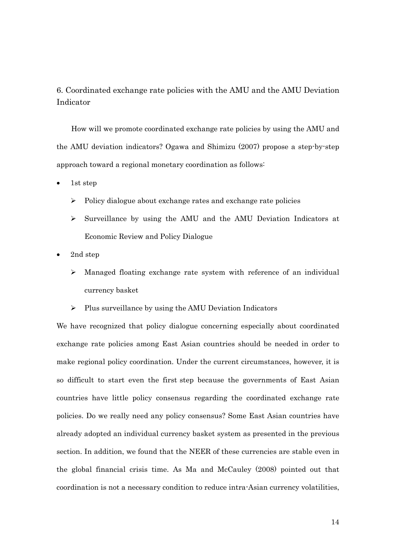6. Coordinated exchange rate policies with the AMU and the AMU Deviation Indicator

How will we promote coordinated exchange rate policies by using the AMU and the AMU deviation indicators? Ogawa and Shimizu (2007) propose a step-by-step approach toward a regional monetary coordination as follows:

1st step

- $\triangleright$  Policy dialogue about exchange rates and exchange rate policies
- $\triangleright$  Surveillance by using the AMU and the AMU Deviation Indicators at Economic Review and Policy Dialogue
- 2nd step
	- $\triangleright$  Managed floating exchange rate system with reference of an individual currency basket
	- $\triangleright$  Plus surveillance by using the AMU Deviation Indicators

We have recognized that policy dialogue concerning especially about coordinated exchange rate policies among East Asian countries should be needed in order to make regional policy coordination. Under the current circumstances, however, it is so difficult to start even the first step because the governments of East Asian countries have little policy consensus regarding the coordinated exchange rate policies. Do we really need any policy consensus? Some East Asian countries have already adopted an individual currency basket system as presented in the previous section. In addition, we found that the NEER of these currencies are stable even in the global financial crisis time. As Ma and McCauley (2008) pointed out that coordination is not a necessary condition to reduce intra-Asian currency volatilities,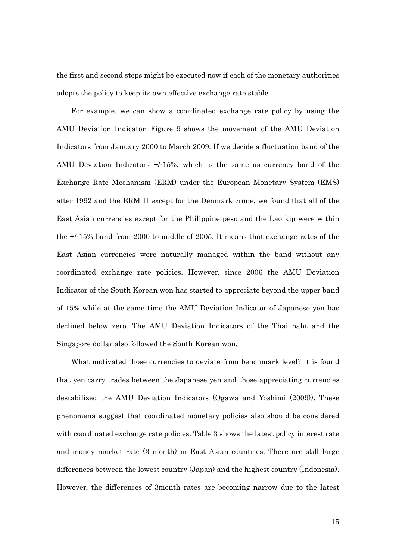the first and second steps might be executed now if each of the monetary authorities adopts the policy to keep its own effective exchange rate stable.

For example, we can show a coordinated exchange rate policy by using the AMU Deviation Indicator. Figure 9 shows the movement of the AMU Deviation Indicators from January 2000 to March 2009. If we decide a fluctuation band of the AMU Deviation Indicators +/-15%, which is the same as currency band of the Exchange Rate Mechanism (ERM) under the European Monetary System (EMS) after 1992 and the ERM II except for the Denmark crone, we found that all of the East Asian currencies except for the Philippine peso and the Lao kip were within the +/-15% band from 2000 to middle of 2005. It means that exchange rates of the East Asian currencies were naturally managed within the band without any coordinated exchange rate policies. However, since 2006 the AMU Deviation Indicator of the South Korean won has started to appreciate beyond the upper band of 15% while at the same time the AMU Deviation Indicator of Japanese yen has declined below zero. The AMU Deviation Indicators of the Thai baht and the Singapore dollar also followed the South Korean won.

What motivated those currencies to deviate from benchmark level? It is found that yen carry trades between the Japanese yen and those appreciating currencies destabilized the AMU Deviation Indicators (Ogawa and Yoshimi (2009)). These phenomena suggest that coordinated monetary policies also should be considered with coordinated exchange rate policies. Table 3 shows the latest policy interest rate and money market rate (3 month) in East Asian countries. There are still large differences between the lowest country (Japan) and the highest country (Indonesia). However, the differences of 3month rates are becoming narrow due to the latest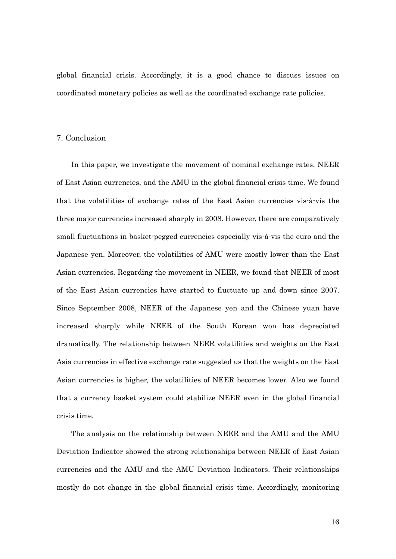global financial crisis. Accordingly, it is a good chance to discuss issues on coordinated monetary policies as well as the coordinated exchange rate policies.

### 7. Conclusion

In this paper, we investigate the movement of nominal exchange rates, NEER of East Asian currencies, and the AMU in the global financial crisis time. We found that the volatilities of exchange rates of the East Asian currencies vis-à-vis the three major currencies increased sharply in 2008. However, there are comparatively small fluctuations in basket-pegged currencies especially vis-à-vis the euro and the Japanese yen. Moreover, the volatilities of AMU were mostly lower than the East Asian currencies. Regarding the movement in NEER, we found that NEER of most of the East Asian currencies have started to fluctuate up and down since 2007. Since September 2008, NEER of the Japanese yen and the Chinese yuan have increased sharply while NEER of the South Korean won has depreciated dramatically. The relationship between NEER volatilities and weights on the East Asia currencies in effective exchange rate suggested us that the weights on the East Asian currencies is higher, the volatilities of NEER becomes lower. Also we found that a currency basket system could stabilize NEER even in the global financial crisis time.

The analysis on the relationship between NEER and the AMU and the AMU Deviation Indicator showed the strong relationships between NEER of East Asian currencies and the AMU and the AMU Deviation Indicators. Their relationships mostly do not change in the global financial crisis time. Accordingly, monitoring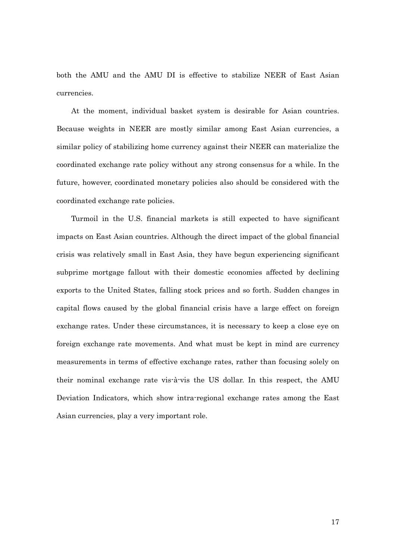both the AMU and the AMU DI is effective to stabilize NEER of East Asian currencies.

At the moment, individual basket system is desirable for Asian countries. Because weights in NEER are mostly similar among East Asian currencies, a similar policy of stabilizing home currency against their NEER can materialize the coordinated exchange rate policy without any strong consensus for a while. In the future, however, coordinated monetary policies also should be considered with the coordinated exchange rate policies.

Turmoil in the U.S. financial markets is still expected to have significant impacts on East Asian countries. Although the direct impact of the global financial crisis was relatively small in East Asia, they have begun experiencing significant subprime mortgage fallout with their domestic economies affected by declining exports to the United States, falling stock prices and so forth. Sudden changes in capital flows caused by the global financial crisis have a large effect on foreign exchange rates. Under these circumstances, it is necessary to keep a close eye on foreign exchange rate movements. And what must be kept in mind are currency measurements in terms of effective exchange rates, rather than focusing solely on their nominal exchange rate vis-à-vis the US dollar. In this respect, the AMU Deviation Indicators, which show intra-regional exchange rates among the East Asian currencies, play a very important role.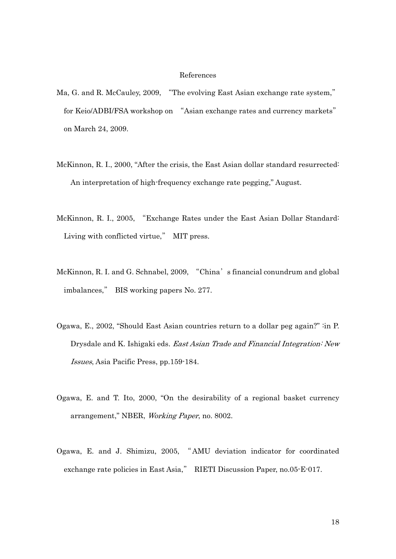### References

- Ma, G. and R. McCauley, 2009, "The evolving East Asian exchange rate system," for Keio/ADBI/FSA workshop on "Asian exchange rates and currency markets" on March 24, 2009.
- McKinnon, R. I., 2000, "After the crisis, the East Asian dollar standard resurrected: An interpretation of high-frequency exchange rate pegging," August.
- McKinnon, R. I., 2005, "Exchange Rates under the East Asian Dollar Standard: Living with conflicted virtue," MIT press.
- McKinnon, R. I. and G. Schnabel, 2009, "China's financial conundrum and global imbalances," BIS working papers No. 277.
- Ogawa, E., 2002, "Should East Asian countries return to a dollar peg again?" :in P. Drysdale and K. Ishigaki eds. East Asian Trade and Financial Integration: New Issues, Asia Pacific Press, pp.159-184.
- Ogawa, E. and T. Ito, 2000, "On the desirability of a regional basket currency arrangement," NBER, Working Paper, no. 8002.
- Ogawa, E. and J. Shimizu, 2005, "AMU deviation indicator for coordinated exchange rate policies in East Asia," RIETI Discussion Paper, no.05-E-017.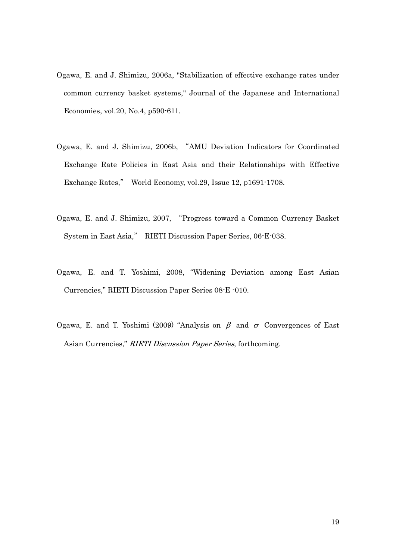- Ogawa, E. and J. Shimizu, 2006a, "Stabilization of effective exchange rates under common currency basket systems," Journal of the Japanese and International Economies, vol.20, No.4, p590-611.
- Ogawa, E. and J. Shimizu, 2006b, "AMU Deviation Indicators for Coordinated Exchange Rate Policies in East Asia and their Relationships with Effective Exchange Rates," World Economy, vol.29, Issue 12, p1691-1708.
- Ogawa, E. and J. Shimizu, 2007, "Progress toward a Common Currency Basket System in East Asia," RIETI Discussion Paper Series, 06-E-038.
- Ogawa, E. and T. Yoshimi, 2008, "Widening Deviation among East Asian Currencies," RIETI Discussion Paper Series 08-E -010.
- Ogawa, E. and T. Yoshimi (2009) "Analysis on  $\beta$  and  $\sigma$  Convergences of East Asian Currencies," RIETI Discussion Paper Series, forthcoming.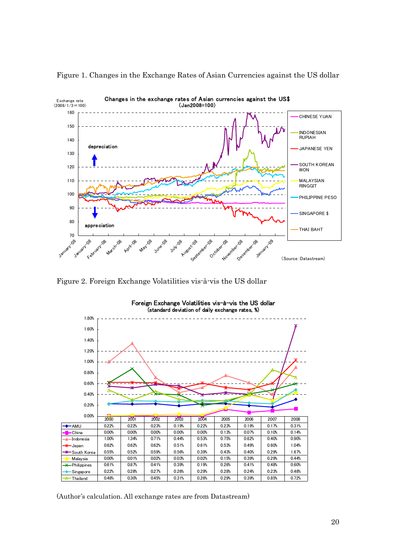

Figure 1. Changes in the Exchange Rates of Asian Currencies against the US dollar

Figure 2. Foreign Exchange Volatilities vis-à-vis the US dollar



(Author's calculation. All exchange rates are from Datastream)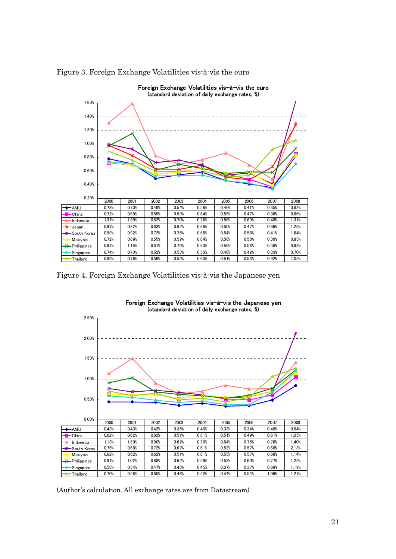

Figure 3. Foreign Exchange Volatilities vis-à-vis the euro

Figure 4. Foreign Exchange Volatilities vis-à-vis the Japanese yen



(Author's calculation. All exchange rates are from Datastream)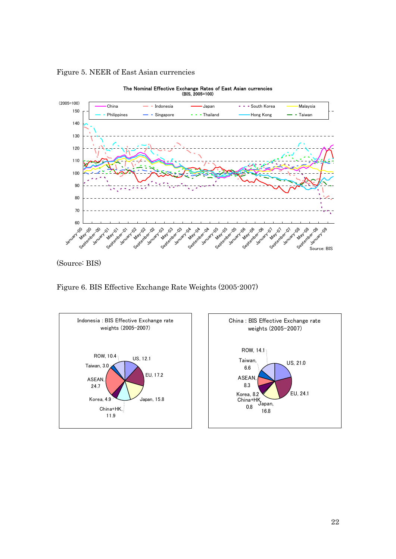

Figure 5. NEER of East Asian currencies

(Source: BIS)

Figure 6. BIS Effective Exchange Rate Weights (2005-2007)

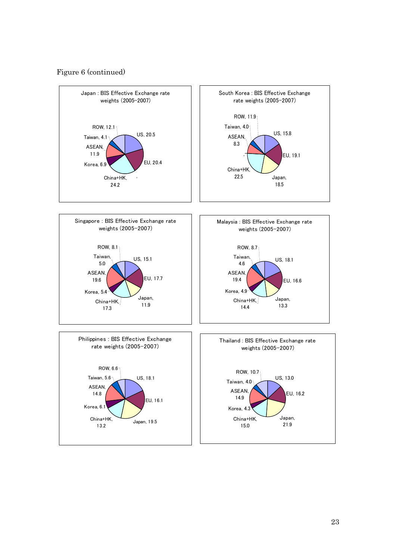### Figure 6 (continued)

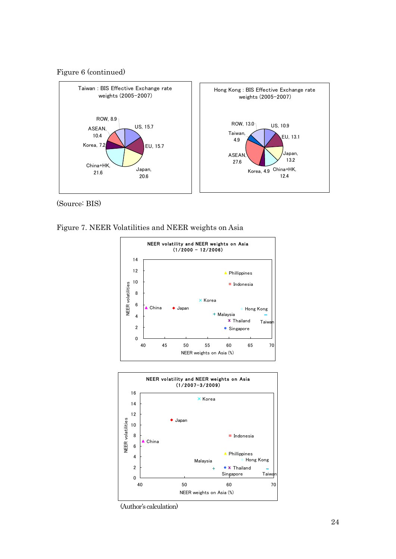



(Source: BIS)

Figure 7. NEER Volatilities and NEER weights on Asia





(Author's calculation)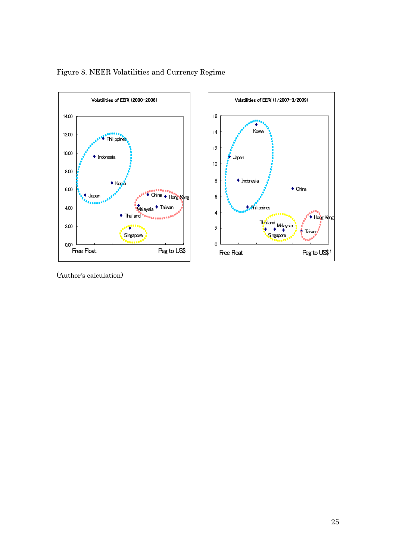

## Figure 8. NEER Volatilities and Currency Regime



(Author's calculation)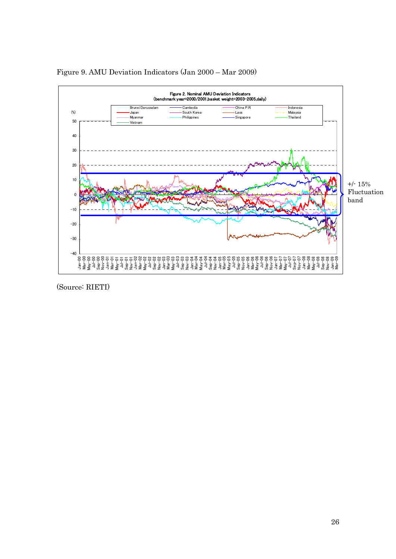



(Source: RIETI)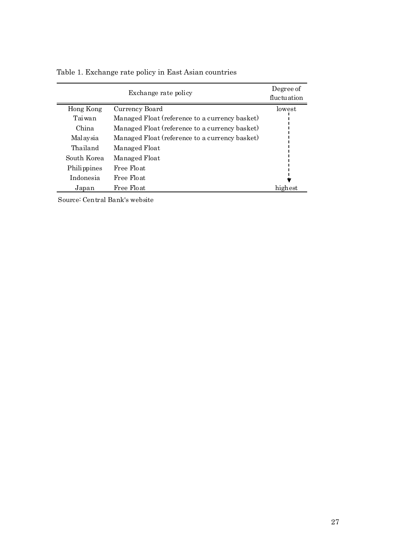|             | Degree of<br>fluctuation                       |          |
|-------------|------------------------------------------------|----------|
| Hong Kong   | Currency Board                                 | lowest   |
| Taiwan      | Managed Float (reference to a currency basket) |          |
| China       | Managed Float (reference to a currency basket) |          |
| Malaysia    | Managed Float (reference to a currency basket) |          |
| Thailand    | Managed Float                                  |          |
| South Korea | Managed Float                                  |          |
| Philippines | Free Float                                     |          |
| Indonesia   | Free Float                                     |          |
| Japan       | Free Float                                     | hıgh est |

Table 1. Exchange rate policy in East Asian countries

Source: Central Bank's website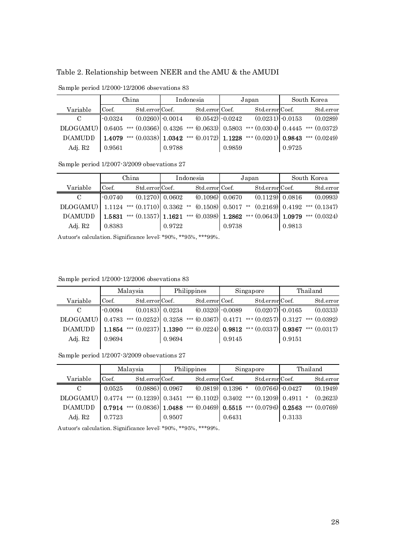Table 2. Relationship between NEER and the AMU & the AMUDI

|                    | China     |                    | Indonesia |                     | Japan  |                                                                                  | South Korea |           |
|--------------------|-----------|--------------------|-----------|---------------------|--------|----------------------------------------------------------------------------------|-------------|-----------|
| Variable           | Coef.     | Std.errorCoef.     |           | Std.error Coef.     |        | Std.error Coef.                                                                  |             | Std.error |
|                    | $-0.0324$ | $(0.0260)$ -0.0014 |           | $(0.0542) - 0.0242$ |        | $(0.0231)$ -0.0153                                                               |             | (0.0289)  |
| $DLOG(AMU)$ 0.6405 |           |                    |           |                     |        | *** $(0.0366)$ 0.4326 *** $(0.0633)$ 0.5803 *** $(0.0304)$ 0.4445 *** $(0.0372)$ |             |           |
| D(AMUDI)           | 1.4079    |                    |           |                     |        | *** $(0.0338)$ 1.0342 *** $(0.0172)$ 1.1228 *** $(0.0201)$ 0.9843 *** $(0.0249)$ |             |           |
| Adj. R2            | 0.9561    |                    | 0.9788    |                     | 0.9859 |                                                                                  | 0.9725      |           |

Sample period 1/2000-12/2006 obsevations 83

Sample period 1/2007-3/2009 obsevations 27

|                                                                                           | China     |                 | Indonesia |                 | Japan  |                                                                  | South Korea |                                                                                    |
|-------------------------------------------------------------------------------------------|-----------|-----------------|-----------|-----------------|--------|------------------------------------------------------------------|-------------|------------------------------------------------------------------------------------|
| Variable                                                                                  | Coef.     | Std.error Coef. |           | Std.error Coef. |        | Std.error Coef.                                                  |             | Std.error                                                                          |
| C                                                                                         | $-0.0740$ |                 |           |                 |        | $(0.1270)$ 0.0602 $(0.1096)$ 0.0670 $(0.1129)$ 0.0816 $(0.0993)$ |             |                                                                                    |
| $DLOG(AMU)$ 1.1124 *** (0.1710) 0.3362 ** (0.1508) 0.5017 ** (0.2169) 0.4192 *** (0.1347) |           |                 |           |                 |        |                                                                  |             |                                                                                    |
| D(AMUDI)                                                                                  |           |                 |           |                 |        |                                                                  |             | 1.5831 *** (0.1357)  1.1621 *** (0.0398)  1.2862 *** (0.0643)  1.0979 *** (0.0324) |
| Adj. R2                                                                                   | 0.8383    |                 | 0.9722    |                 | 0.9738 |                                                                  | 0.9813      |                                                                                    |

Autuor's calculation. Significance level: \*90%, \*\*95%, \*\*\*99%.

Sample period 1/2000-12/2006 obsevations 83

|                    | Malaysia  |                   | Philippines |                           | Singapore |                                                                                  | Thailand |                |
|--------------------|-----------|-------------------|-------------|---------------------------|-----------|----------------------------------------------------------------------------------|----------|----------------|
| Variable           | Coef.     | Std.error Coef.   |             | Std.error Coef.           |           | Std.error Coef.                                                                  |          | Std.error      |
| $\mathcal{C}$      | $-0.0094$ | $(0.0183)$ 0.0234 |             | $(0.0320)$ $\cdot 0.0089$ |           | $(0.0207)$ -0.0165                                                               |          | (0.0333)       |
| $DLOG(AMU)$ 0.4783 |           |                   |             |                           |           | *** $(0.0252)$ 0.3258 *** $(0.0367)$ 0.4171 *** $(0.0257)$ 0.3127 *** $(0.0392)$ |          |                |
| D(AMUDI)           | 1.1854    |                   |             |                           |           | *** $(0.0237)$ 1.1390 *** $(0.0224)$ 0.9812 *** $(0.0337)$ 0.9367                |          | *** $(0.0317)$ |
| Adj. R2            | 0.9694    |                   | 0.9694      |                           | 0.9145    |                                                                                  | 0.9151   |                |
|                    |           |                   |             |                           |           |                                                                                  |          |                |

Sample period 1/2007-3/2009 obsevations 27

|                    |        | Malaysia        | Philippines |                       | Singapore |                                                                     | Thailand |                |
|--------------------|--------|-----------------|-------------|-----------------------|-----------|---------------------------------------------------------------------|----------|----------------|
| Variable           | Coef.  | Std.error Coef. |             | Std.error Coef.       |           | Std.error Coef.                                                     |          | Std.error      |
|                    | 0.0525 | (0.0886) 0.0967 |             | $(0.0819)$ 0.1396 $*$ |           | $(0.0766) \cdot 0.0427$                                             |          | (0.1949)       |
| $DLOG(AMU)$ 0.4774 |        |                 |             |                       |           | *** $(0.1239)$ 0.3451 *** $(0.1102)$ 0.3402 *** $(0.1209)$ 0.4911 * |          | (0.2623)       |
| D(AMUDI)           | 0.7914 |                 |             |                       |           | *** $(0.0836)$ 1.0488 *** $(0.0469)$ 0.5515 *** $(0.0796)$ 0.2563   |          | *** $(0.0769)$ |
| Adj. R2            | 0.7723 |                 | 0.9507      |                       | 0.6431    |                                                                     | 0.3133   |                |

Autuor's calculation. Significance level: \*90%, \*\*95%, \*\*\*99%.